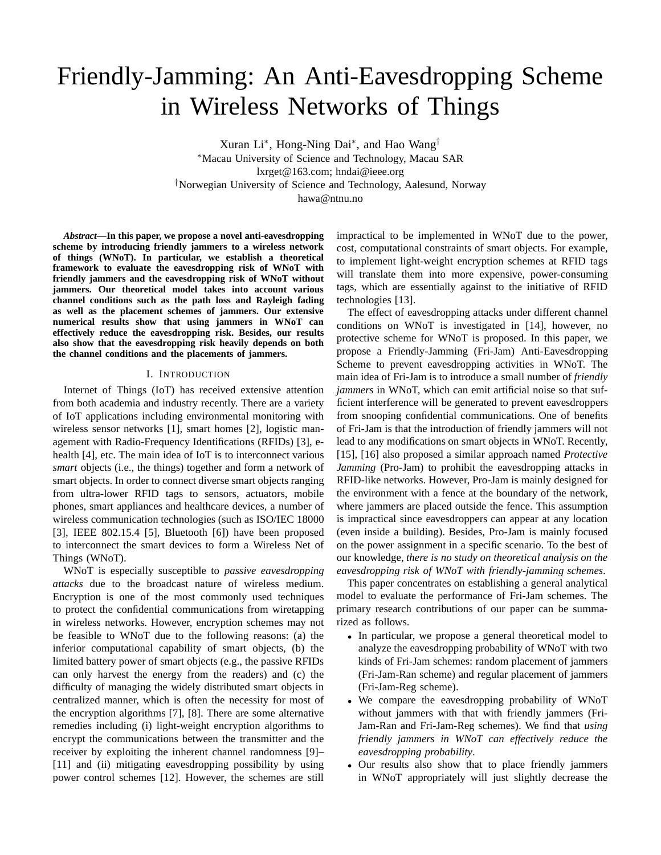# Friendly-Jamming: An Anti-Eavesdropping Scheme in Wireless Networks of Things

Xuran Li<sup>∗</sup> , Hong-Ning Dai<sup>∗</sup> , and Hao Wang† <sup>∗</sup>Macau University of Science and Technology, Macau SAR lxrget@163.com; hndai@ieee.org †Norwegian University of Science and Technology, Aalesund, Norway hawa@ntnu.no

*Abstract***—In this paper, we propose a novel anti-eavesdropping scheme by introducing friendly jammers to a wireless network of things (WNoT). In particular, we establish a theoretical framework to evaluate the eavesdropping risk of WNoT with friendly jammers and the eavesdropping risk of WNoT without jammers. Our theoretical model takes into account various channel conditions such as the path loss and Rayleigh fading as well as the placement schemes of jammers. Our extensive numerical results show that using jammers in WNoT can effectively reduce the eavesdropping risk. Besides, our results also show that the eavesdropping risk heavily depends on both the channel conditions and the placements of jammers.**

# I. INTRODUCTION

Internet of Things (IoT) has received extensive attention from both academia and industry recently. There are a variety of IoT applications including environmental monitoring with wireless sensor networks [1], smart homes [2], logistic management with Radio-Frequency Identifications (RFIDs) [3], ehealth [4], etc. The main idea of IoT is to interconnect various *smart* objects (i.e., the things) together and form a network of smart objects. In order to connect diverse smart objects ranging from ultra-lower RFID tags to sensors, actuators, mobile phones, smart appliances and healthcare devices, a number of wireless communication technologies (such as ISO/IEC 18000 [3], IEEE 802.15.4 [5], Bluetooth [6]) have been proposed to interconnect the smart devices to form a Wireless Net of Things (WNoT).

WNoT is especially susceptible to *passive eavesdropping attacks* due to the broadcast nature of wireless medium. Encryption is one of the most commonly used techniques to protect the confidential communications from wiretapping in wireless networks. However, encryption schemes may not be feasible to WNoT due to the following reasons: (a) the inferior computational capability of smart objects, (b) the limited battery power of smart objects (e.g., the passive RFIDs can only harvest the energy from the readers) and (c) the difficulty of managing the widely distributed smart objects in centralized manner, which is often the necessity for most of the encryption algorithms [7], [8]. There are some alternative remedies including (i) light-weight encryption algorithms to encrypt the communications between the transmitter and the receiver by exploiting the inherent channel randomness [9]– [11] and (ii) mitigating eavesdropping possibility by using power control schemes [12]. However, the schemes are still

impractical to be implemented in WNoT due to the power, cost, computational constraints of smart objects. For example, to implement light-weight encryption schemes at RFID tags will translate them into more expensive, power-consuming tags, which are essentially against to the initiative of RFID technologies [13].

The effect of eavesdropping attacks under different channel conditions on WNoT is investigated in [14], however, no protective scheme for WNoT is proposed. In this paper, we propose a Friendly-Jamming (Fri-Jam) Anti-Eavesdropping Scheme to prevent eavesdropping activities in WNoT. The main idea of Fri-Jam is to introduce a small number of *friendly jammers* in WNoT, which can emit artificial noise so that sufficient interference will be generated to prevent eavesdroppers from snooping confidential communications. One of benefits of Fri-Jam is that the introduction of friendly jammers will not lead to any modifications on smart objects in WNoT. Recently, [15], [16] also proposed a similar approach named *Protective Jamming* (Pro-Jam) to prohibit the eavesdropping attacks in RFID-like networks. However, Pro-Jam is mainly designed for the environment with a fence at the boundary of the network, where jammers are placed outside the fence. This assumption is impractical since eavesdroppers can appear at any location (even inside a building). Besides, Pro-Jam is mainly focused on the power assignment in a specific scenario. To the best of our knowledge, *there is no study on theoretical analysis on the eavesdropping risk of WNoT with friendly-jamming schemes*.

This paper concentrates on establishing a general analytical model to evaluate the performance of Fri-Jam schemes. The primary research contributions of our paper can be summarized as follows.

- In particular, we propose a general theoretical model to analyze the eavesdropping probability of WNoT with two kinds of Fri-Jam schemes: random placement of jammers (Fri-Jam-Ran scheme) and regular placement of jammers (Fri-Jam-Reg scheme).
- We compare the eavesdropping probability of WNoT without jammers with that with friendly jammers (Fri-Jam-Ran and Fri-Jam-Reg schemes). We find that *using friendly jammers in WNoT can effectively reduce the eavesdropping probability*.
- Our results also show that to place friendly jammers in WNoT appropriately will just slightly decrease the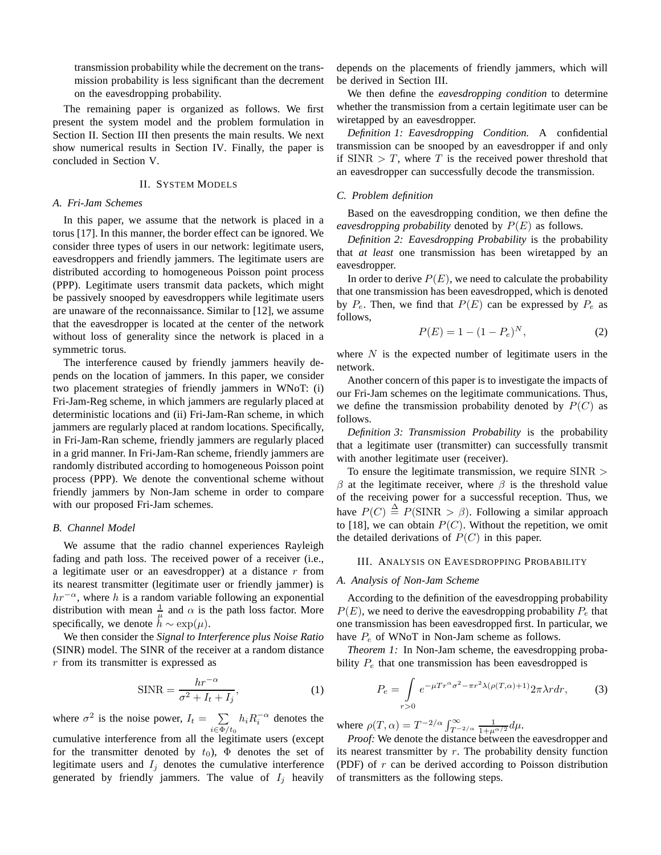transmission probability while the decrement on the transmission probability is less significant than the decrement on the eavesdropping probability.

The remaining paper is organized as follows. We first present the system model and the problem formulation in Section II. Section III then presents the main results. We next show numerical results in Section IV. Finally, the paper is concluded in Section V.

#### II. SYSTEM MODELS

# *A. Fri-Jam Schemes*

In this paper, we assume that the network is placed in a torus [17]. In this manner, the border effect can be ignored. We consider three types of users in our network: legitimate users, eavesdroppers and friendly jammers. The legitimate users are distributed according to homogeneous Poisson point process (PPP). Legitimate users transmit data packets, which might be passively snooped by eavesdroppers while legitimate users are unaware of the reconnaissance. Similar to [12], we assume that the eavesdropper is located at the center of the network without loss of generality since the network is placed in a symmetric torus.

The interference caused by friendly jammers heavily depends on the location of jammers. In this paper, we consider two placement strategies of friendly jammers in WNoT: (i) Fri-Jam-Reg scheme, in which jammers are regularly placed at deterministic locations and (ii) Fri-Jam-Ran scheme, in which jammers are regularly placed at random locations. Specifically, in Fri-Jam-Ran scheme, friendly jammers are regularly placed in a grid manner. In Fri-Jam-Ran scheme, friendly jammers are randomly distributed according to homogeneous Poisson point process (PPP). We denote the conventional scheme without friendly jammers by Non-Jam scheme in order to compare with our proposed Fri-Jam schemes.

#### *B. Channel Model*

We assume that the radio channel experiences Rayleigh fading and path loss. The received power of a receiver (i.e., a legitimate user or an eavesdropper) at a distance  $r$  from its nearest transmitter (legitimate user or friendly jammer) is  $hr^{-\alpha}$ , where h is a random variable following an exponential distribution with mean  $\frac{1}{\mu}$  and  $\alpha$  is the path loss factor. More specifically, we denote  $h \sim \exp(\mu)$ .

We then consider the *Signal to Interference plus Noise Ratio* (SINR) model. The SINR of the receiver at a random distance r from its transmitter is expressed as

$$
\text{SINR} = \frac{hr^{-\alpha}}{\sigma^2 + I_t + I_j},\tag{1}
$$

where  $\sigma^2$  is the noise power,  $I_t = \sum$  $\sum_{i \in \Phi/t_0} h_i R_i^{-\alpha}$  denotes the cumulative interference from all the legitimate users (except

for the transmitter denoted by  $t_0$ ),  $\Phi$  denotes the set of legitimate users and  $I_j$  denotes the cumulative interference generated by friendly jammers. The value of  $I_i$  heavily

depends on the placements of friendly jammers, which will be derived in Section III.

We then define the *eavesdropping condition* to determine whether the transmission from a certain legitimate user can be wiretapped by an eavesdropper.

*Definition 1: Eavesdropping Condition.* A confidential transmission can be snooped by an eavesdropper if and only if SINR  $> T$ , where T is the received power threshold that an eavesdropper can successfully decode the transmission.

## *C. Problem definition*

Based on the eavesdropping condition, we then define the *eavesdropping probability* denoted by  $P(E)$  as follows.

*Definition 2: Eavesdropping Probability* is the probability that *at least* one transmission has been wiretapped by an eavesdropper.

In order to derive  $P(E)$ , we need to calculate the probability that one transmission has been eavesdropped, which is denoted by  $P_e$ . Then, we find that  $P(E)$  can be expressed by  $P_e$  as follows,

$$
P(E) = 1 - (1 - P_e)^N, \tag{2}
$$

where  $N$  is the expected number of legitimate users in the network.

Another concern of this paper is to investigate the impacts of our Fri-Jam schemes on the legitimate communications. Thus, we define the transmission probability denoted by  $P(C)$  as follows.

*Definition 3: Transmission Probability* is the probability that a legitimate user (transmitter) can successfully transmit with another legitimate user (receiver).

To ensure the legitimate transmission, we require SINR >  $\beta$  at the legitimate receiver, where  $\beta$  is the threshold value of the receiving power for a successful reception. Thus, we have  $P(C) \triangleq P(SINR > \beta)$ . Following a similar approach to [18], we can obtain  $P(C)$ . Without the repetition, we omit the detailed derivations of  $P(C)$  in this paper.

#### III. ANALYSIS ON EAVESDROPPING PROBABILITY

#### *A. Analysis of Non-Jam Scheme*

According to the definition of the eavesdropping probability  $P(E)$ , we need to derive the eavesdropping probability  $P_e$  that one transmission has been eavesdropped first. In particular, we have  $P_e$  of WNoT in Non-Jam scheme as follows.

*Theorem 1:* In Non-Jam scheme, the eavesdropping probability  $P_e$  that one transmission has been eavesdropped is

$$
P_e = \int_{r>0} e^{-\mu Tr^{\alpha} \sigma^2 - \pi r^2 \lambda (\rho(T,\alpha)+1)} 2\pi \lambda r dr, \tag{3}
$$

where  $\rho(T, \alpha) = T^{-2/\alpha} \int_{T^{-2/\alpha}}^{\infty} \frac{1}{1 + \mu^{\alpha/2}} d\mu$ .

*Proof:* We denote the distance between the eavesdropper and its nearest transmitter by r. The probability density function (PDF) of  $r$  can be derived according to Poisson distribution of transmitters as the following steps.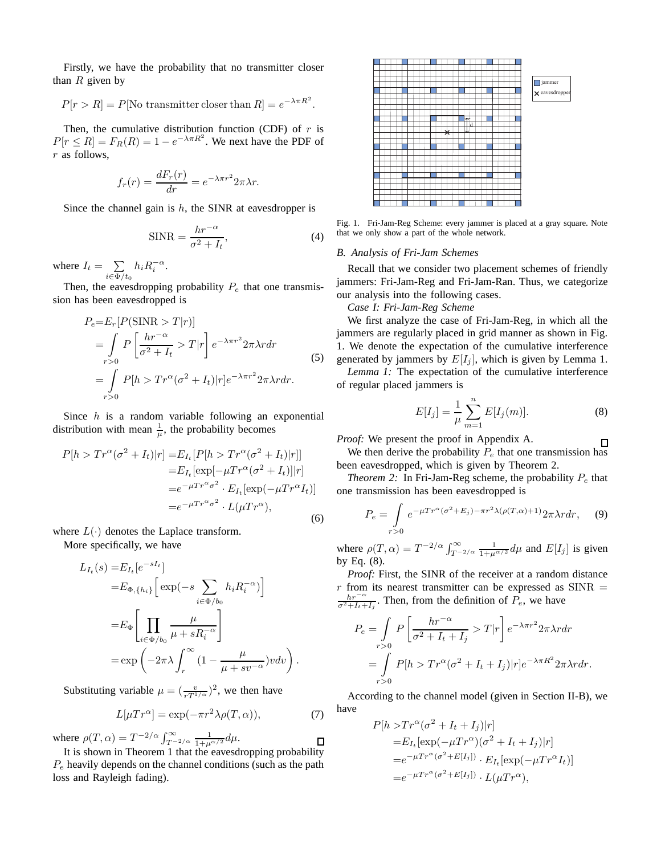Firstly, we have the probability that no transmitter closer than  $R$  given by

$$
P[r > R] = P
$$
[No transmitter closer than  $R] = e^{-\lambda \pi R^2}$ .

Then, the cumulative distribution function (CDF) of  $r$  is  $P[r \le R] = F_R(R) = 1 - e^{-\lambda \pi R^2}$ . We next have the PDF of r as follows,

$$
f_r(r) = \frac{dF_r(r)}{dr} = e^{-\lambda \pi r^2} 2\pi \lambda r.
$$

Since the channel gain is  $h$ , the SINR at eavesdropper is

$$
\text{SINR} = \frac{hr^{-\alpha}}{\sigma^2 + I_t},\tag{4}
$$

where  $I_t = \sum$  $\sum_{i\in\Phi/t_0}h_iR_i^{-\alpha}.$ 

Then, the eavesdropping probability  $P_e$  that one transmission has been eavesdropped is

$$
P_e = E_r [P(\text{SINR} > T|r)]
$$
  
= 
$$
\int_{r>0} P \left[ \frac{hr^{-\alpha}}{\sigma^2 + I_t} > T|r \right] e^{-\lambda \pi r^2} 2\pi \lambda r dr
$$
  
= 
$$
\int_{r>0} P[h > Tr^{\alpha} (\sigma^2 + I_t)|r] e^{-\lambda \pi r^2} 2\pi \lambda r dr.
$$
 (5)

Since  $h$  is a random variable following an exponential distribution with mean  $\frac{1}{\mu}$ , the probability becomes

$$
P[h > Tr^{\alpha}(\sigma^2 + I_t)|r] = E_{I_t}[P[h > Tr^{\alpha}(\sigma^2 + I_t)|r]]
$$
  
\n
$$
= E_{I_t}[\exp[-\mu Tr^{\alpha}(\sigma^2 + I_t)]|r]
$$
  
\n
$$
= e^{-\mu Tr^{\alpha} \sigma^2} \cdot E_{I_t}[\exp(-\mu Tr^{\alpha} I_t)]
$$
  
\n
$$
= e^{-\mu Tr^{\alpha} \sigma^2} \cdot L(\mu Tr^{\alpha}),
$$
\n(6)

where  $L(\cdot)$  denotes the Laplace transform.

More specifically, we have

$$
L_{I_t}(s) = E_{I_t}[e^{-sI_t}]
$$
  
\n
$$
= E_{\Phi, \{h_i\}} \Big[ \exp(-s \sum_{i \in \Phi/b_0} h_i R_i^{-\alpha}) \Big]
$$
  
\n
$$
= E_{\Phi} \Biggl[ \prod_{i \in \Phi/b_0} \frac{\mu}{\mu + sR_i^{-\alpha}} \Biggr]
$$
  
\n
$$
= \exp \left( -2\pi \lambda \int_r^{\infty} \left( 1 - \frac{\mu}{\mu + s v^{-\alpha}} \right) v dv \right).
$$

Substituting variable  $\mu = \left(\frac{v}{rT^{1/\alpha}}\right)^2$ , we then have

 $\tau$ [ $\pi$   $\alpha$ ]

$$
L[\mu Tr^{\alpha}] = \exp(-\pi r^2 \lambda \rho(T, \alpha)), \tag{7}
$$

 $\Box$ 

where 
$$
\rho(T, \alpha) = T^{-2/\alpha} \int_{T^{-2/\alpha}}^{\infty} \frac{1}{1 + \mu^{\alpha/2}} d\mu
$$
.  
It is shown in Theorem 1 that the eavesdropping probability

 $P_e$  heavily depends on the channel conditions (such as the path loss and Rayleigh fading).



Fig. 1. Fri-Jam-Reg Scheme: every jammer is placed at a gray square. Note that we only show a part of the whole network.

## *B. Analysis of Fri-Jam Schemes*

Recall that we consider two placement schemes of friendly jammers: Fri-Jam-Reg and Fri-Jam-Ran. Thus, we categorize our analysis into the following cases.

*Case I: Fri-Jam-Reg Scheme*

We first analyze the case of Fri-Jam-Reg, in which all the jammers are regularly placed in grid manner as shown in Fig. 1. We denote the expectation of the cumulative interference generated by jammers by  $E[I_j]$ , which is given by Lemma 1.

*Lemma 1:* The expectation of the cumulative interference of regular placed jammers is

$$
E[I_j] = \frac{1}{\mu} \sum_{m=1}^{n} E[I_j(m)].
$$
 (8)

П

*Proof:* We present the proof in Appendix A.

We then derive the probability  $P_e$  that one transmission has been eavesdropped, which is given by Theorem 2.

*Theorem 2:* In Fri-Jam-Reg scheme, the probability  $P_e$  that one transmission has been eavesdropped is

$$
P_e = \int_{r>0} e^{-\mu Tr^{\alpha}(\sigma^2 + E_j) - \pi r^2 \lambda(\rho(T,\alpha) + 1)} 2\pi \lambda r dr, \quad (9)
$$

where  $\rho(T, \alpha) = T^{-2/\alpha} \int_{T^{-2/\alpha}}^{\infty} \frac{1}{1 + \mu^{\alpha/2}} d\mu$  and  $E[I_j]$  is given by Eq. (8).

*Proof:* First, the SINR of the receiver at a random distance  $r$  from its nearest transmitter can be expressed as  $SINR =$  $\frac{hr^{-\alpha}}{\sigma^2+I_t+I_j}$ . Then, from the definition of  $P_e$ , we have

$$
P_e = \int_{r>0} P\left[\frac{hr^{-\alpha}}{\sigma^2 + I_t + I_j} > T|r\right] e^{-\lambda \pi r^2} 2\pi \lambda r dr
$$
  
= 
$$
\int_{r>0} P[h > Tr^{\alpha} (\sigma^2 + I_t + I_j)|r] e^{-\lambda \pi R^2} 2\pi \lambda r dr.
$$

According to the channel model (given in Section II-B), we have

$$
P[h > Tr^{\alpha}(\sigma^2 + I_t + I_j)|r]
$$
  
=  $E_{I_t}[\exp(-\mu Tr^{\alpha})(\sigma^2 + I_t + I_j)|r]$   
=  $e^{-\mu Tr^{\alpha}(\sigma^2 + E[I_j])} \cdot E_{I_t}[\exp(-\mu Tr^{\alpha}I_t)]$   
=  $e^{-\mu Tr^{\alpha}(\sigma^2 + E[I_j])} \cdot L(\mu Tr^{\alpha}),$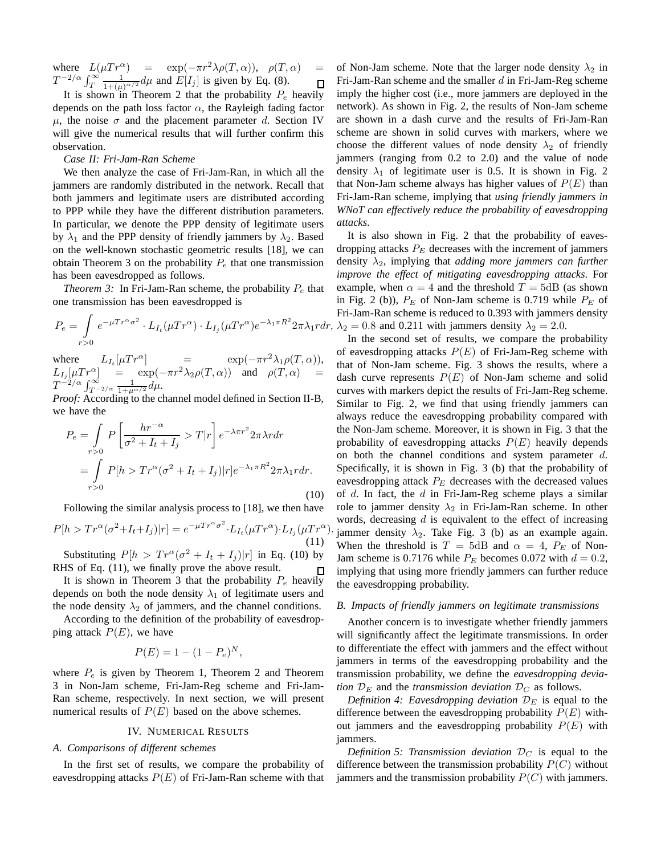where  $L(\mu Tr^{\alpha}) = \exp(-\pi r^2 \lambda \rho(T,\alpha)), \rho(T,\alpha) =$  $T^{-2/\alpha} \int_T^{\infty} \frac{1}{1+(\mu)}$  $\frac{1}{1+(\mu)^{\alpha/2}}d\mu$  and  $E[I_j]$  is given by Eq. (8).  $\Box$ 

It is shown in Theorem 2 that the probability  $P_e$  heavily depends on the path loss factor  $\alpha$ , the Rayleigh fading factor  $\mu$ , the noise  $\sigma$  and the placement parameter d. Section IV will give the numerical results that will further confirm this observation.

# *Case II: Fri-Jam-Ran Scheme*

We then analyze the case of Fri-Jam-Ran, in which all the jammers are randomly distributed in the network. Recall that both jammers and legitimate users are distributed according to PPP while they have the different distribution parameters. In particular, we denote the PPP density of legitimate users by  $\lambda_1$  and the PPP density of friendly jammers by  $\lambda_2$ . Based on the well-known stochastic geometric results [18], we can obtain Theorem 3 on the probability  $P_e$  that one transmission has been eavesdropped as follows.

*Theorem 3:* In Fri-Jam-Ran scheme, the probability  $P_e$  that one transmission has been eavesdropped is

$$
P_e = \int_{r>0} e^{-\mu Tr^{\alpha}\sigma^2} \cdot L_{I_t}(\mu Tr^{\alpha}) \cdot L_{I_j}(\mu Tr^{\alpha})e^{-\lambda_1 \pi R^2} 2\pi \lambda_1 r dr,
$$

where  $L_{I_t}[\mu Tr^{\alpha}]$  =  $\exp(-\pi r^2 \lambda_1 \rho(T, \alpha)),$  $L_{I_j}[\mu Tr^{\alpha}]$  =  $\exp(-\pi r^2 \lambda_2 \rho(T,\alpha))$  and  $\rho(T,\alpha)$  =  $T^{-2/\alpha} \int_{T^{-2/\alpha}}^{\infty} \frac{1}{1+\mu^{\alpha/2}} d\mu.$ 

*Proof:* According to the channel model defined in Section II-B, we have the

$$
P_e = \int_{r>0} P\left[\frac{hr^{-\alpha}}{\sigma^2 + I_t + I_j} > T|r\right] e^{-\lambda \pi r^2} 2\pi \lambda r dr
$$
  
= 
$$
\int_{r>0} P[h > Tr^{\alpha} (\sigma^2 + I_t + I_j)|r] e^{-\lambda_1 \pi R^2} 2\pi \lambda_1 r dr.
$$
 (10)

Following the similar analysis process to [18], we then have

$$
P[h > Tr^{\alpha}(\sigma^2 + I_t + I_j)|r] = e^{-\mu Tr^{\alpha} \sigma^2} \cdot L_{I_t}(\mu Tr^{\alpha}) \cdot L_{I_j}(\mu Tr^{\alpha})
$$
\n(11)

Substituting  $P[h] > Tr^{\alpha}(\sigma^2 + I_t + I_j)|r]$  in Eq. (10) by RHS of Eq. (11), we finally prove the above result.  $\Box$ 

It is shown in Theorem 3 that the probability  $P_e$  heavily depends on both the node density  $\lambda_1$  of legitimate users and the node density  $\lambda_2$  of jammers, and the channel conditions.

According to the definition of the probability of eavesdropping attack  $P(E)$ , we have

$$
P(E) = 1 - (1 - P_e)^N,
$$

where  $P_e$  is given by Theorem 1, Theorem 2 and Theorem 3 in Non-Jam scheme, Fri-Jam-Reg scheme and Fri-Jam-Ran scheme, respectively. In next section, we will present numerical results of  $P(E)$  based on the above schemes.

### IV. NUMERICAL RESULTS

# *A. Comparisons of different schemes*

In the first set of results, we compare the probability of eavesdropping attacks  $P(E)$  of Fri-Jam-Ran scheme with that

of Non-Jam scheme. Note that the larger node density  $\lambda_2$  in Fri-Jam-Ran scheme and the smaller  $d$  in Fri-Jam-Reg scheme imply the higher cost (i.e., more jammers are deployed in the network). As shown in Fig. 2, the results of Non-Jam scheme are shown in a dash curve and the results of Fri-Jam-Ran scheme are shown in solid curves with markers, where we choose the different values of node density  $\lambda_2$  of friendly jammers (ranging from 0.2 to 2.0) and the value of node density  $\lambda_1$  of legitimate user is 0.5. It is shown in Fig. 2 that Non-Jam scheme always has higher values of  $P(E)$  than Fri-Jam-Ran scheme, implying that *using friendly jammers in WNoT can effectively reduce the probability of eavesdropping attacks*.

It is also shown in Fig. 2 that the probability of eavesdropping attacks  $P_E$  decreases with the increment of jammers density  $\lambda_2$ , implying that *adding more jammers can further improve the effect of mitigating eavesdropping attacks*. For example, when  $\alpha = 4$  and the threshold  $T = 5dB$  (as shown in Fig. 2 (b)),  $P_E$  of Non-Jam scheme is 0.719 while  $P_E$  of Fri-Jam-Ran scheme is reduced to 0.393 with jammers density  $\lambda_2 = 0.8$  and 0.211 with jammers density  $\lambda_2 = 2.0$ .

) jammer density  $\lambda_2$ . Take Fig. 3 (b) as an example again. In the second set of results, we compare the probability of eavesdropping attacks  $P(E)$  of Fri-Jam-Reg scheme with that of Non-Jam scheme. Fig. 3 shows the results, where a dash curve represents  $P(E)$  of Non-Jam scheme and solid curves with markers depict the results of Fri-Jam-Reg scheme. Similar to Fig. 2, we find that using friendly jammers can always reduce the eavesdropping probability compared with the Non-Jam scheme. Moreover, it is shown in Fig. 3 that the probability of eavesdropping attacks  $P(E)$  heavily depends on both the channel conditions and system parameter  $d$ . Specifically, it is shown in Fig. 3 (b) that the probability of eavesdropping attack  $P_E$  decreases with the decreased values of  $d$ . In fact, the  $d$  in Fri-Jam-Reg scheme plays a similar role to jammer density  $\lambda_2$  in Fri-Jam-Ran scheme. In other words, decreasing  $d$  is equivalent to the effect of increasing When the threshold is  $T = 5dB$  and  $\alpha = 4$ ,  $P_E$  of Non-Jam scheme is 0.7176 while  $P_E$  becomes 0.072 with  $d = 0.2$ , implying that using more friendly jammers can further reduce the eavesdropping probability.

## *B. Impacts of friendly jammers on legitimate transmissions*

Another concern is to investigate whether friendly jammers will significantly affect the legitimate transmissions. In order to differentiate the effect with jammers and the effect without jammers in terms of the eavesdropping probability and the transmission probability, we define the *eavesdropping deviation*  $D_E$  and the *transmission deviation*  $D_C$  as follows.

*Definition 4: Eavesdropping deviation*  $\mathcal{D}_E$  is equal to the difference between the eavesdropping probability  $P(E)$  without jammers and the eavesdropping probability  $P(E)$  with jammers.

*Definition 5: Transmission deviation*  $D_C$  is equal to the difference between the transmission probability  $P(C)$  without jammers and the transmission probability  $P(C)$  with jammers.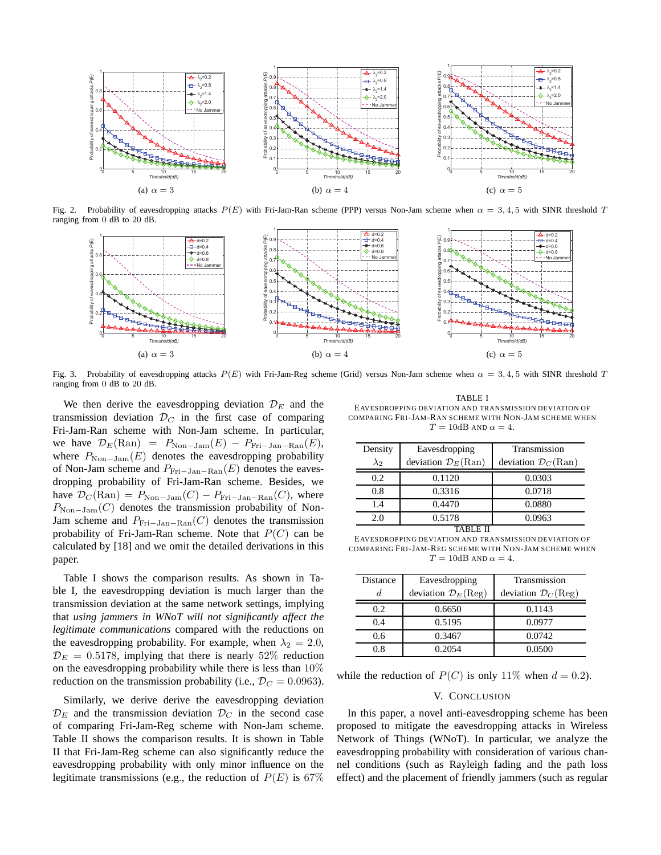

Fig. 2. Probability of eavesdropping attacks  $P(E)$  with Fri-Jam-Ran scheme (PPP) versus Non-Jam scheme when  $\alpha = 3, 4, 5$  with SINR threshold T ranging from 0 dB to 20 dB.



Fig. 3. Probability of eavesdropping attacks  $P(E)$  with Fri-Jam-Reg scheme (Grid) versus Non-Jam scheme when  $\alpha = 3, 4, 5$  with SINR threshold T ranging from 0 dB to 20 dB.

We then derive the eavesdropping deviation  $\mathcal{D}_E$  and the transmission deviation  $\mathcal{D}_C$  in the first case of comparing Fri-Jam-Ran scheme with Non-Jam scheme. In particular, we have  $\mathcal{D}_E(\text{Ran}) = P_{\text{Non-Jam}}(E) - P_{\text{Fri-Jan-Ran}}(E)$ , where  $P_{\text{Non-Jam}}(E)$  denotes the eavesdropping probability of Non-Jam scheme and  $P_{\text{Fri}-\text{Jan}-\text{Ran}}(E)$  denotes the eavesdropping probability of Fri-Jam-Ran scheme. Besides, we have  $\mathcal{D}_C(\text{Ran}) = P_{\text{Non-Jam}}(C) - P_{\text{Fri-Jan-Ran}}(C)$ , where  $P_{\text{Non-Jam}}(C)$  denotes the transmission probability of Non-Jam scheme and  $P_{\text{Fri}-\text{Jan}-\text{Ran}}(C)$  denotes the transmission probability of Fri-Jam-Ran scheme. Note that  $P(C)$  can be calculated by [18] and we omit the detailed derivations in this paper.

Table I shows the comparison results. As shown in Table I, the eavesdropping deviation is much larger than the transmission deviation at the same network settings, implying that *using jammers in WNoT will not significantly affect the legitimate communications* compared with the reductions on the eavesdropping probability. For example, when  $\lambda_2 = 2.0$ ,  $\mathcal{D}_E = 0.5178$ , implying that there is nearly 52% reduction on the eavesdropping probability while there is less than  $10\%$ reduction on the transmission probability (i.e.,  $\mathcal{D}_C = 0.0963$ ).

Similarly, we derive derive the eavesdropping deviation  $\mathcal{D}_E$  and the transmission deviation  $\mathcal{D}_C$  in the second case of comparing Fri-Jam-Reg scheme with Non-Jam scheme. Table II shows the comparison results. It is shown in Table II that Fri-Jam-Reg scheme can also significantly reduce the eavesdropping probability with only minor influence on the legitimate transmissions (e.g., the reduction of  $P(E)$  is 67%

TABLE I EAVESDROPPING DEVIATION AND TRANSMISSION DEVIATION OF COMPARING FRI-JAM-RAN SCHEME WITH NON-JAM SCHEME WHEN  $T = 10$ dB AND  $\alpha = 4$ .

| Density      | Eavesdropping                         | Transmission                          |
|--------------|---------------------------------------|---------------------------------------|
| $\lambda_2$  | deviation $\mathcal{D}_E(\text{Ran})$ | deviation $\mathcal{D}_C(\text{Ran})$ |
| 0.2          | 0.1120                                | 0.0303                                |
| 0.8          | 0.3316                                | 0.0718                                |
| 1.4          | 0.4470                                | 0.0880                                |
| 2.0          | 0.5178                                | 0.0963                                |
| <b>TABLE</b> |                                       |                                       |

EAVESDROPPING DEVIATION AND TRANSMISSION DEVIATION OF COMPARING FRI-JAM-REG SCHEME WITH NON-JAM SCHEME WHEN  $T = 10$ dB AND  $\alpha = 4$ .

| Distance | Eavesdropping                         | Transmission                          |
|----------|---------------------------------------|---------------------------------------|
| d.       | deviation $\mathcal{D}_E(\text{Reg})$ | deviation $\mathcal{D}_C(\text{Reg})$ |
| 0.2      | 0.6650                                | 0.1143                                |
| 0.4      | 0.5195                                | 0.0977                                |
| 0.6      | 0.3467                                | 0.0742                                |
| 0 ጸ      | 0.2054                                | 0.0500                                |

while the reduction of  $P(C)$  is only 11% when  $d = 0.2$ ).

# V. CONCLUSION

In this paper, a novel anti-eavesdropping scheme has been proposed to mitigate the eavesdropping attacks in Wireless Network of Things (WNoT). In particular, we analyze the eavesdropping probability with consideration of various channel conditions (such as Rayleigh fading and the path loss effect) and the placement of friendly jammers (such as regular